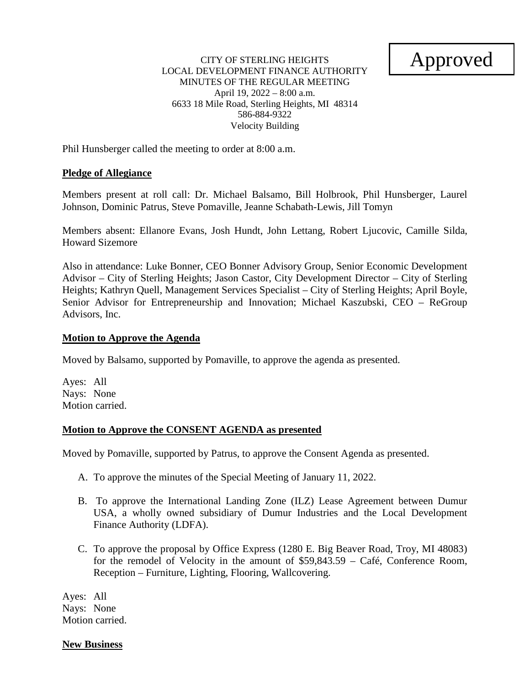# Approved

#### CITY OF STERLING HEIGHTS LOCAL DEVELOPMENT FINANCE AUTHORITY MINUTES OF THE REGULAR MEETING April 19, 2022 – 8:00 a.m. 6633 18 Mile Road, Sterling Heights, MI 48314 586-884-9322 Velocity Building

Phil Hunsberger called the meeting to order at 8:00 a.m.

#### **Pledge of Allegiance**

Members present at roll call: Dr. Michael Balsamo, Bill Holbrook, Phil Hunsberger, Laurel Johnson, Dominic Patrus, Steve Pomaville, Jeanne Schabath-Lewis, Jill Tomyn

Members absent: Ellanore Evans, Josh Hundt, John Lettang, Robert Ljucovic, Camille Silda, Howard Sizemore

Also in attendance: Luke Bonner, CEO Bonner Advisory Group, Senior Economic Development Advisor – City of Sterling Heights; Jason Castor, City Development Director – City of Sterling Heights; Kathryn Quell, Management Services Specialist – City of Sterling Heights; April Boyle, Senior Advisor for Entrepreneurship and Innovation; Michael Kaszubski, CEO – ReGroup Advisors, Inc.

#### **Motion to Approve the Agenda**

Moved by Balsamo, supported by Pomaville, to approve the agenda as presented.

Ayes: All Nays: None Motion carried.

#### **Motion to Approve the CONSENT AGENDA as presented**

Moved by Pomaville, supported by Patrus, to approve the Consent Agenda as presented.

- A. To approve the minutes of the Special Meeting of January 11, 2022.
- B. To approve the International Landing Zone (ILZ) Lease Agreement between Dumur USA, a wholly owned subsidiary of Dumur Industries and the Local Development Finance Authority (LDFA).
- C. To approve the proposal by Office Express (1280 E. Big Beaver Road, Troy, MI 48083) for the remodel of Velocity in the amount of \$59,843.59 – Café, Conference Room, Reception – Furniture, Lighting, Flooring, Wallcovering.

Ayes: All Nays: None Motion carried.

#### **New Business**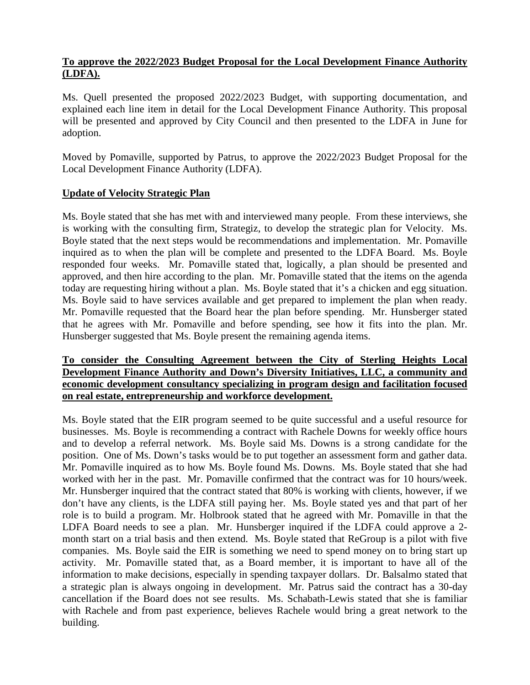# **To approve the 2022/2023 Budget Proposal for the Local Development Finance Authority (LDFA).**

Ms. Quell presented the proposed 2022/2023 Budget, with supporting documentation, and explained each line item in detail for the Local Development Finance Authority. This proposal will be presented and approved by City Council and then presented to the LDFA in June for adoption.

Moved by Pomaville, supported by Patrus, to approve the 2022/2023 Budget Proposal for the Local Development Finance Authority (LDFA).

# **Update of Velocity Strategic Plan**

Ms. Boyle stated that she has met with and interviewed many people. From these interviews, she is working with the consulting firm, Strategiz, to develop the strategic plan for Velocity. Ms. Boyle stated that the next steps would be recommendations and implementation. Mr. Pomaville inquired as to when the plan will be complete and presented to the LDFA Board. Ms. Boyle responded four weeks. Mr. Pomaville stated that, logically, a plan should be presented and approved, and then hire according to the plan. Mr. Pomaville stated that the items on the agenda today are requesting hiring without a plan. Ms. Boyle stated that it's a chicken and egg situation. Ms. Boyle said to have services available and get prepared to implement the plan when ready. Mr. Pomaville requested that the Board hear the plan before spending. Mr. Hunsberger stated that he agrees with Mr. Pomaville and before spending, see how it fits into the plan. Mr. Hunsberger suggested that Ms. Boyle present the remaining agenda items.

# **To consider the Consulting Agreement between the City of Sterling Heights Local Development Finance Authority and Down's Diversity Initiatives, LLC, a community and economic development consultancy specializing in program design and facilitation focused on real estate, entrepreneurship and workforce development.**

Ms. Boyle stated that the EIR program seemed to be quite successful and a useful resource for businesses. Ms. Boyle is recommending a contract with Rachele Downs for weekly office hours and to develop a referral network. Ms. Boyle said Ms. Downs is a strong candidate for the position. One of Ms. Down's tasks would be to put together an assessment form and gather data. Mr. Pomaville inquired as to how Ms. Boyle found Ms. Downs. Ms. Boyle stated that she had worked with her in the past. Mr. Pomaville confirmed that the contract was for 10 hours/week. Mr. Hunsberger inquired that the contract stated that 80% is working with clients, however, if we don't have any clients, is the LDFA still paying her. Ms. Boyle stated yes and that part of her role is to build a program. Mr. Holbrook stated that he agreed with Mr. Pomaville in that the LDFA Board needs to see a plan. Mr. Hunsberger inquired if the LDFA could approve a 2 month start on a trial basis and then extend. Ms. Boyle stated that ReGroup is a pilot with five companies. Ms. Boyle said the EIR is something we need to spend money on to bring start up activity. Mr. Pomaville stated that, as a Board member, it is important to have all of the information to make decisions, especially in spending taxpayer dollars. Dr. Balsalmo stated that a strategic plan is always ongoing in development. Mr. Patrus said the contract has a 30-day cancellation if the Board does not see results. Ms. Schabath-Lewis stated that she is familiar with Rachele and from past experience, believes Rachele would bring a great network to the building.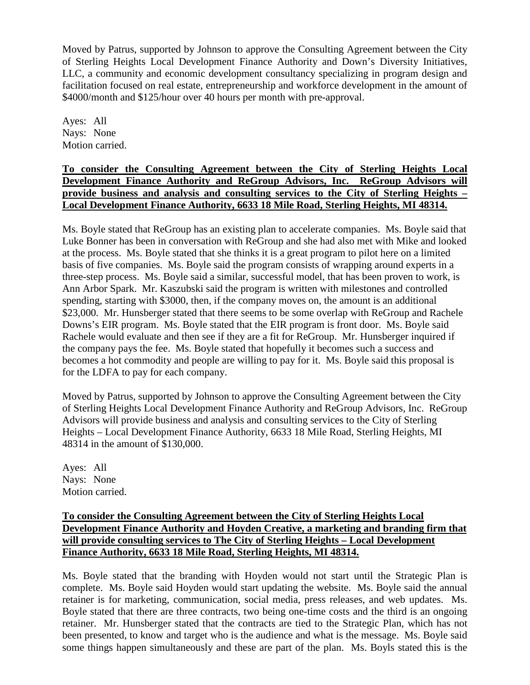Moved by Patrus, supported by Johnson to approve the Consulting Agreement between the City of Sterling Heights Local Development Finance Authority and Down's Diversity Initiatives, LLC, a community and economic development consultancy specializing in program design and facilitation focused on real estate, entrepreneurship and workforce development in the amount of \$4000/month and \$125/hour over 40 hours per month with pre-approval.

Ayes: All Nays: None Motion carried.

# **To consider the Consulting Agreement between the City of Sterling Heights Local Development Finance Authority and ReGroup Advisors, Inc. ReGroup Advisors will provide business and analysis and consulting services to the City of Sterling Heights – Local Development Finance Authority, 6633 18 Mile Road, Sterling Heights, MI 48314.**

Ms. Boyle stated that ReGroup has an existing plan to accelerate companies. Ms. Boyle said that Luke Bonner has been in conversation with ReGroup and she had also met with Mike and looked at the process. Ms. Boyle stated that she thinks it is a great program to pilot here on a limited basis of five companies. Ms. Boyle said the program consists of wrapping around experts in a three-step process. Ms. Boyle said a similar, successful model, that has been proven to work, is Ann Arbor Spark. Mr. Kaszubski said the program is written with milestones and controlled spending, starting with \$3000, then, if the company moves on, the amount is an additional \$23,000. Mr. Hunsberger stated that there seems to be some overlap with ReGroup and Rachele Downs's EIR program. Ms. Boyle stated that the EIR program is front door. Ms. Boyle said Rachele would evaluate and then see if they are a fit for ReGroup. Mr. Hunsberger inquired if the company pays the fee. Ms. Boyle stated that hopefully it becomes such a success and becomes a hot commodity and people are willing to pay for it. Ms. Boyle said this proposal is for the LDFA to pay for each company.

Moved by Patrus, supported by Johnson to approve the Consulting Agreement between the City of Sterling Heights Local Development Finance Authority and ReGroup Advisors, Inc. ReGroup Advisors will provide business and analysis and consulting services to the City of Sterling Heights – Local Development Finance Authority, 6633 18 Mile Road, Sterling Heights, MI 48314 in the amount of \$130,000.

Ayes: All Nays: None Motion carried.

# **To consider the Consulting Agreement between the City of Sterling Heights Local Development Finance Authority and Hoyden Creative, a marketing and branding firm that will provide consulting services to The City of Sterling Heights – Local Development Finance Authority, 6633 18 Mile Road, Sterling Heights, MI 48314.**

Ms. Boyle stated that the branding with Hoyden would not start until the Strategic Plan is complete. Ms. Boyle said Hoyden would start updating the website. Ms. Boyle said the annual retainer is for marketing, communication, social media, press releases, and web updates. Ms. Boyle stated that there are three contracts, two being one-time costs and the third is an ongoing retainer. Mr. Hunsberger stated that the contracts are tied to the Strategic Plan, which has not been presented, to know and target who is the audience and what is the message. Ms. Boyle said some things happen simultaneously and these are part of the plan. Ms. Boyls stated this is the